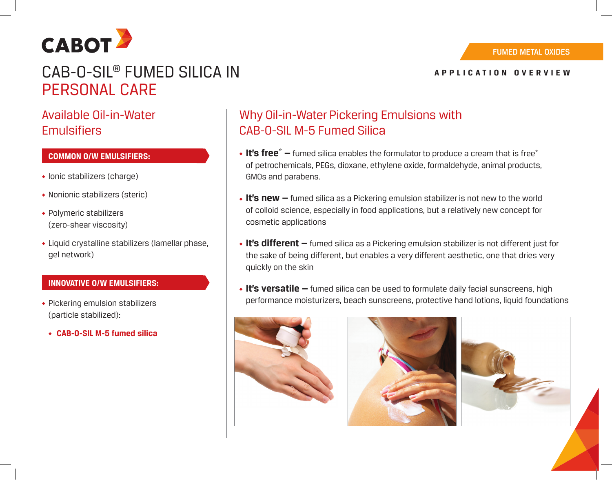

# CAB-O-SIL® FUMED SILICA IN PERSONAL CARE

## Available Oil-in-Water **Emulsifiers**

### **COMMON O/W EMULSIFIERS:**

- ◆ Ionic stabilizers (charge)
- ◆ Nonionic stabilizers (steric)
- ◆ Polymeric stabilizers (zero-shear viscosity)
- ◆ Liquid crystalline stabilizers (lamellar phase, gel network)

### **INNOVATIVE O/W EMULSIFIERS:**

- ◆ Pickering emulsion stabilizers (particle stabilized):
	- ◆ **CAB-O-SIL M-5 fumed silica**

## Why Oil-in-Water Pickering Emulsions with CAB-0-SIL M-5 Fumed Silica

- **It's free**\*  $-$  fumed silica enables the formulator to produce a cream that is free\* of petrochemicals, PEGs, dioxane, ethylene oxide, formaldehyde, animal products, GMOs and parabens.
- ◆ **It's new —** fumed silica as a Pickering emulsion stabilizer is not new to the world of colloid science, especially in food applications, but a relatively new concept for cosmetic applications
- ◆ **It's different —** fumed silica as a Pickering emulsion stabilizer is not different just for the sake of being different, but enables a very different aesthetic, one that dries very quickly on the skin
- ◆ **It's versatile —** fumed silica can be used to formulate daily facial sunscreens, high performance moisturizers, beach sunscreens, protective hand lotions, liquid foundations